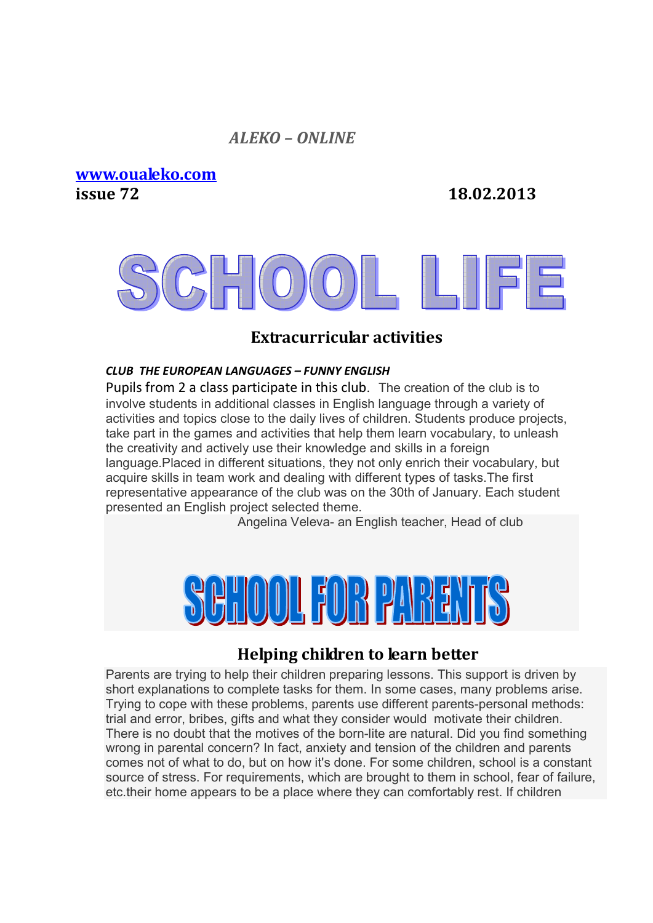#### *ALEKO – ONLINE*

**www.oualeko.com issue 72 18.02.2013**

## **Extracurricular activities**

#### *CLUB THE EUROPEAN LANGUAGES – FUNNY ENGLISH*

Pupils from 2 a class participate in this club. The creation of the club is to involve students in additional classes in English language through a variety of activities and topics close to the daily lives of children. Students produce projects, take part in the games and activities that help them learn vocabulary, to unleash the creativity and actively use their knowledge and skills in a foreign language.Placed in different situations, they not only enrich their vocabulary, but acquire skills in team work and dealing with different types of tasks.The first representative appearance of the club was on the 30th of January. Each student presented an English project selected theme.

Angelina Veleva- an English teacher, Head of club



### **Helping children to learn better**

Parents are trying to help their children preparing lessons. This support is driven by short explanations to complete tasks for them. In some cases, many problems arise. Trying to cope with these problems, parents use different parents-personal methods: trial and error, bribes, gifts and what they consider would motivate their children. There is no doubt that the motives of the born-lite are natural. Did you find something wrong in parental concern? In fact, anxiety and tension of the children and parents comes not of what to do, but on how it's done. For some children, school is a constant source of stress. For requirements, which are brought to them in school, fear of failure, etc.their home appears to be a place where they can comfortably rest. If children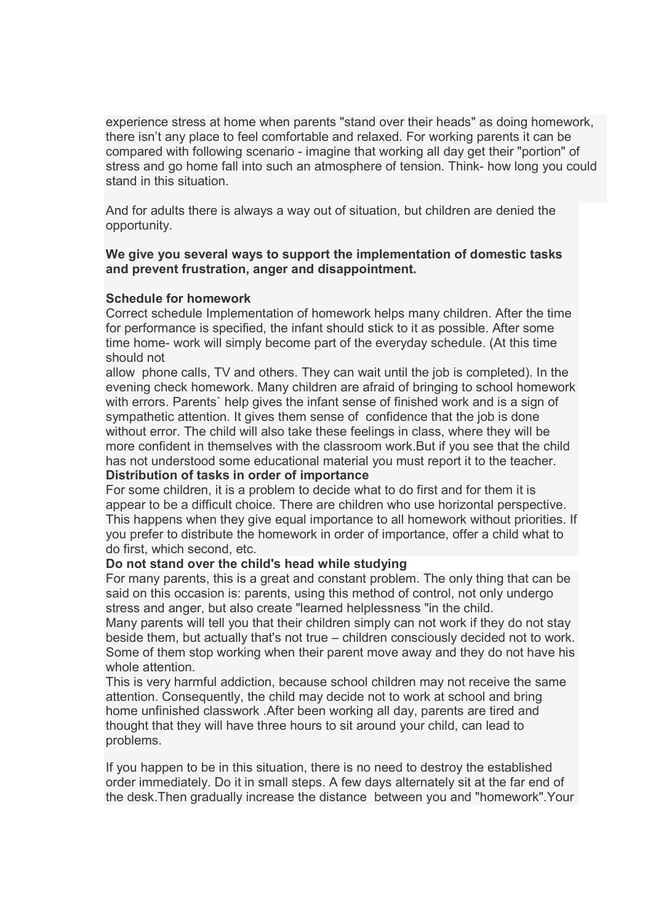experience stress at home when parents "stand over their heads" as doing homework, there isn't any place to feel comfortable and relaxed. For working parents it can be compared with following scenario - imagine that working all day get their "portion" of stress and go home fall into such an atmosphere of tension. Think- how long you could stand in this situation.

And for adults there is always a way out of situation, but children are denied the opportunity.

#### **We give you several ways to support the implementation of domestic tasks and prevent frustration, anger and disappointment.**

#### **Schedule for homework**

Correct schedule Implementation of homework helps many children. After the time for performance is specified, the infant should stick to it as possible. After some time home- work will simply become part of the everyday schedule. (At this time should not

allow phone calls, TV and others. They can wait until the job is completed). In the evening check homework. Many children are afraid of bringing to school homework with errors. Parents` help gives the infant sense of finished work and is a sign of sympathetic attention. It gives them sense of confidence that the job is done without error. The child will also take these feelings in class, where they will be more confident in themselves with the classroom work.But if you see that the child has not understood some educational material you must report it to the teacher.

#### **Distribution of tasks in order of importance**

For some children, it is a problem to decide what to do first and for them it is appear to be a difficult choice. There are children who use horizontal perspective. This happens when they give equal importance to all homework without priorities. If you prefer to distribute the homework in order of importance, offer a child what to do first, which second, etc.

#### **Do not stand over the child's head while studying**

For many parents, this is a great and constant problem. The only thing that can be said on this occasion is: parents, using this method of control, not only undergo stress and anger, but also create "learned helplessness "in the child.

Many parents will tell you that their children simply can not work if they do not stay beside them, but actually that's not true – children consciously decided not to work. Some of them stop working when their parent move away and they do not have his whole attention

This is very harmful addiction, because school children may not receive the same attention. Consequently, the child may decide not to work at school and bring home unfinished classwork .After been working all day, parents are tired and thought that they will have three hours to sit around your child, can lead to problems.

If you happen to be in this situation, there is no need to destroy the established order immediately. Do it in small steps. A few days alternately sit at the far end of the desk.Then gradually increase the distance between you and "homework".Your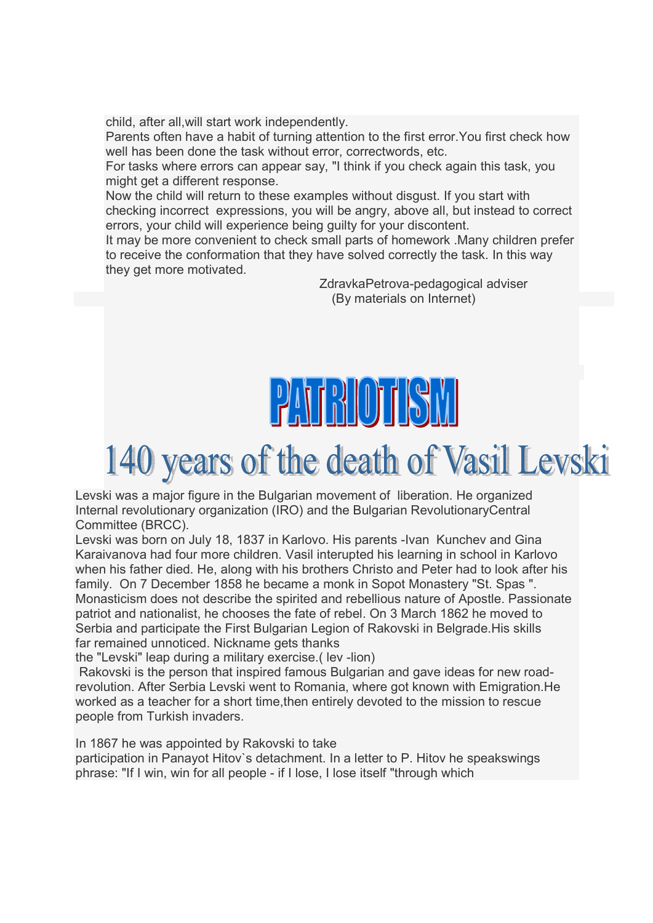child, after all,will start work independently.

Parents often have a habit of turning attention to the first error.You first check how well has been done the task without error, correctwords, etc.

For tasks where errors can appear say, "I think if you check again this task, you might get a different response.

Now the child will return to these examples without disgust. If you start with checking incorrect expressions, you will be angry, above all, but instead to correct errors, your child will experience being guilty for your discontent.

It may be more convenient to check small parts of homework .Many children prefer to receive the conformation that they have solved correctly the task. In this way they get more motivated.

> ZdravkaPetrova-pedagogical adviser (By materials on Internet)

# $|2$ 4143 (1) 1  $|3|$

## 140 years of the death of Vasil Levski

Levski was a major figure in the Bulgarian movement of liberation. He organized Internal revolutionary organization (IRO) and the Bulgarian RevolutionaryCentral Committee (BRCC).

Levski was born on July 18, 1837 in Karlovo. His parents -Ivan Kunchev and Gina Karaivanova had four more children. Vasil interupted his learning in school in Karlovo when his father died. He, along with his brothers Christo and Peter had to look after his family. On 7 December 1858 he became a monk in Sopot Monastery "St. Spas ". Monasticism does not describe the spirited and rebellious nature of Apostle. Passionate patriot and nationalist, he chooses the fate of rebel. On 3 March 1862 he moved to Serbia and participate the First Bulgarian Legion of Rakovski in Belgrade.His skills far remained unnoticed. Nickname gets thanks

the "Levski" leap during a military exercise.( lev -lion)

 Rakovski is the person that inspired famous Bulgarian and gave ideas for new roadrevolution. After Serbia Levski went to Romania, where got known with Emigration.He worked as a teacher for a short time,then entirely devoted to the mission to rescue people from Turkish invaders.

In 1867 he was appointed by Rakovski to take

participation in Panayot Hitov`s detachment. In a letter to P. Hitov he speakswings phrase: "If I win, win for all people - if I lose, I lose itself "through which